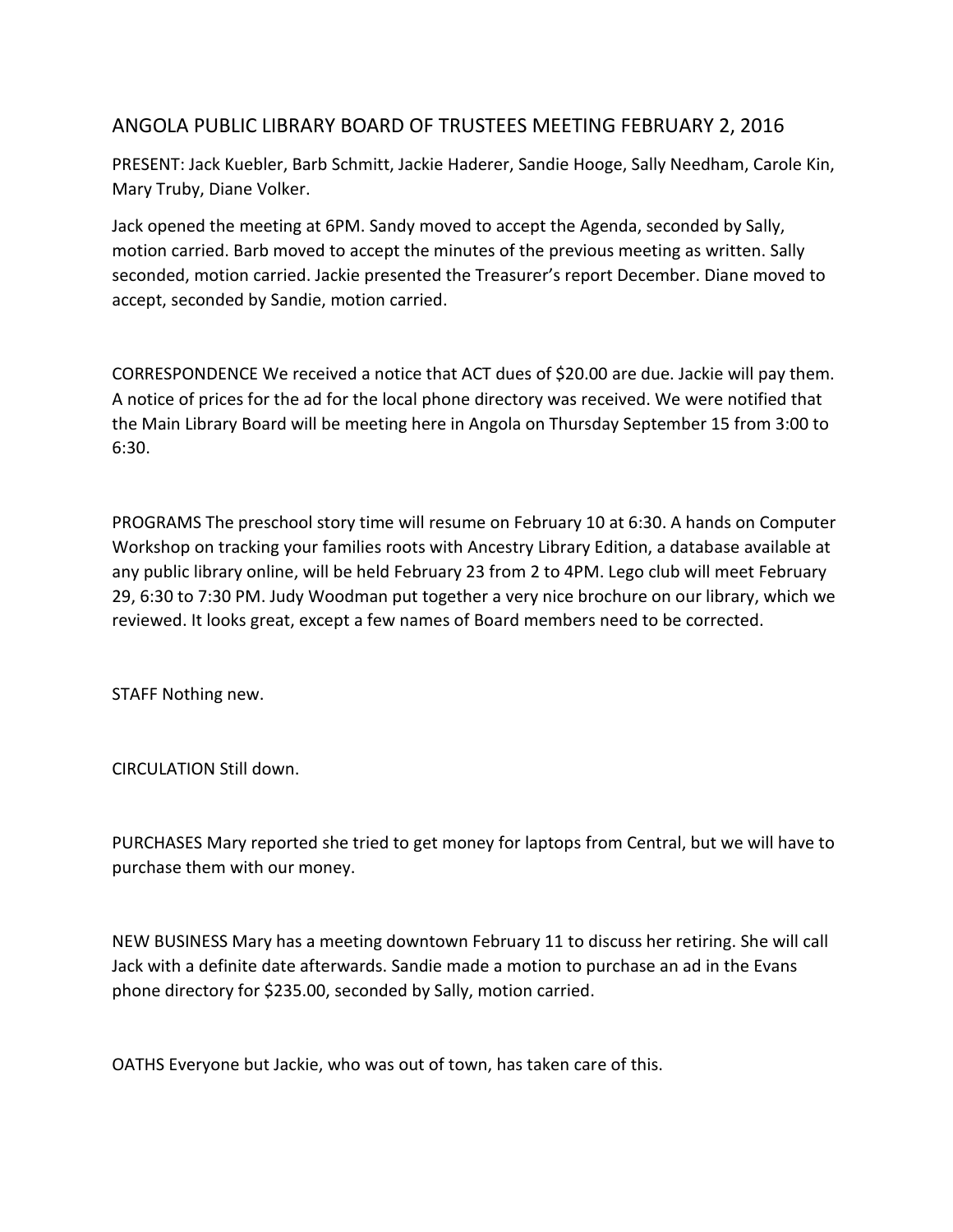## ANGOLA PUBLIC LIBRARY BOARD OF TRUSTEES MEETING FEBRUARY 2, 2016

PRESENT: Jack Kuebler, Barb Schmitt, Jackie Haderer, Sandie Hooge, Sally Needham, Carole Kin, Mary Truby, Diane Volker.

Jack opened the meeting at 6PM. Sandy moved to accept the Agenda, seconded by Sally, motion carried. Barb moved to accept the minutes of the previous meeting as written. Sally seconded, motion carried. Jackie presented the Treasurer's report December. Diane moved to accept, seconded by Sandie, motion carried.

CORRESPONDENCE We received a notice that ACT dues of \$20.00 are due. Jackie will pay them. A notice of prices for the ad for the local phone directory was received. We were notified that the Main Library Board will be meeting here in Angola on Thursday September 15 from 3:00 to 6:30.

PROGRAMS The preschool story time will resume on February 10 at 6:30. A hands on Computer Workshop on tracking your families roots with Ancestry Library Edition, a database available at any public library online, will be held February 23 from 2 to 4PM. Lego club will meet February 29, 6:30 to 7:30 PM. Judy Woodman put together a very nice brochure on our library, which we reviewed. It looks great, except a few names of Board members need to be corrected.

STAFF Nothing new.

CIRCULATION Still down.

PURCHASES Mary reported she tried to get money for laptops from Central, but we will have to purchase them with our money.

NEW BUSINESS Mary has a meeting downtown February 11 to discuss her retiring. She will call Jack with a definite date afterwards. Sandie made a motion to purchase an ad in the Evans phone directory for \$235.00, seconded by Sally, motion carried.

OATHS Everyone but Jackie, who was out of town, has taken care of this.